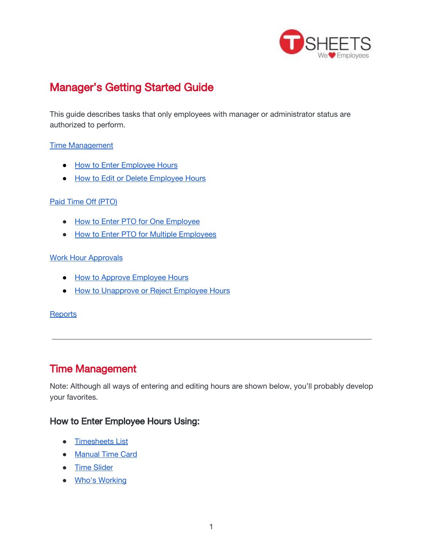

# Manager's Getting Started Guide

This guide describes tasks that only employees with manager or administrator status are authorized to perform.

#### Time [Management](#page-0-1)

- How to Enter [Employee](#page-0-0) Hours
- How to Edit or Delete [Employee](#page-3-0) Hours

#### Paid Time Off [\(PTO\)](#page-5-2)

- How to Enter PTO for One [Employee](#page-5-0)
- How to Enter PTO for Multiple [Employees](#page-5-3)

#### Work Hour [Approvals](#page-5-4)

- How to Approve [Employee](#page-5-1) Hours
- How to [Unapprove](#page-6-0) or Reject Employee Hours

#### **[Reports](#page-6-1)**

# <span id="page-0-1"></span>Time Management

Note: Although all ways of entering and editing hours are shown below, you'll probably develop your favorites.

### <span id="page-0-0"></span>How to Enter Employee Hours Using:

- [Timesheets](#page-1-1) List
- [Manual](#page-1-2) Time Card
- Time [Slider](#page-1-0)
- **Who's [Working](#page-2-0)**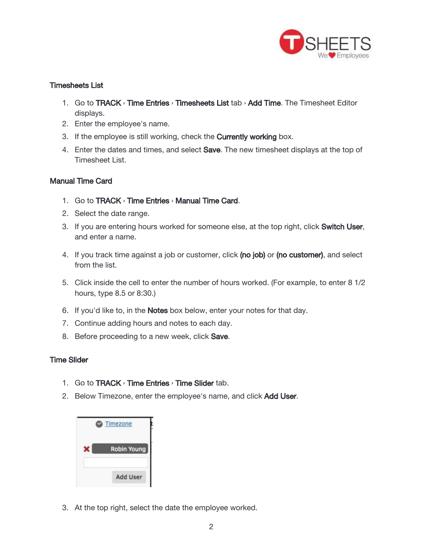

#### <span id="page-1-1"></span>Timesheets List

- 1. Go to TRACK > Time Entries > Timesheets List tab > Add Time. The Timesheet Editor displays.
- 2. Enter the employee's name.
- 3. If the employee is still working, check the **Currently working** box.
- 4. Enter the dates and times, and select **Save**. The new timesheet displays at the top of Timesheet List.

#### <span id="page-1-2"></span>Manual Time Card

- 1. Go to TRACK › Time Entries › Manual Time Card.
- 2. Select the date range.
- 3. If you are entering hours worked for someone else, at the top right, click Switch User, and enter a name.
- 4. If you track time against a job or customer, click (no job) or (no customer), and select from the list.
- 5. Click inside the cell to enter the number of hours worked. (For example, to enter 8 1/2 hours, type 8.5 or 8:30.)
- 6. If you'd like to, in the **Notes** box below, enter your notes for that day.
- 7. Continue adding hours and notes to each day.
- 8. Before proceeding to a new week, click **Save**.

#### <span id="page-1-0"></span>Time Slider

- 1. Go to **TRACK** > Time Entries > Time Slider tab.
- 2. Below Timezone, enter the employee's name, and click Add User.



3. At the top right, select the date the employee worked.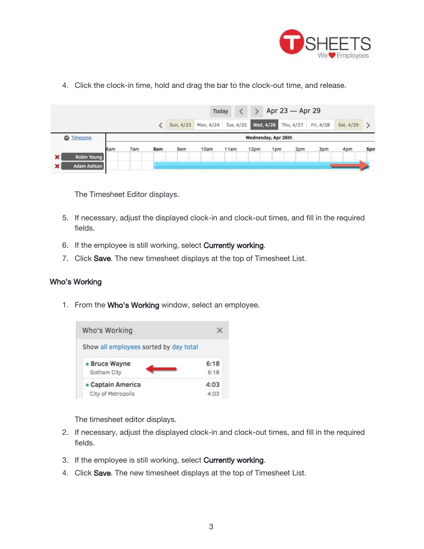

4. Click the clock-in time, hold and drag the bar to the clock-out time, and release.

|                   |                     |     |     | Apr 23 - Apr 29<br>Today<br>$\rightarrow$ |           |           |      |           |           |           |           |     |
|-------------------|---------------------|-----|-----|-------------------------------------------|-----------|-----------|------|-----------|-----------|-----------|-----------|-----|
|                   |                     |     |     | Sun, 4/23                                 | Mon, 4/24 | Tue, 4/25 |      | Wed, 4/26 | Thu, 4/27 | Fri, 4/28 | Sat, 4/29 |     |
| <b>C</b> Timezone | Wednesday, Apr 26th |     |     |                                           |           |           |      |           |           |           |           |     |
|                   | 6am                 | 7am | 8am | 9am                                       | 10am      | 11am      | 12pm | 1pm       | 2pm       | 3pm       | 4pm       | 5pm |
| Robin Young<br>×  |                     |     |     |                                           |           |           |      |           |           |           |           |     |
| ×<br>Adam Ashton  |                     |     |     |                                           |           |           |      |           |           |           |           |     |

The Timesheet Editor displays.

- 5. If necessary, adjust the displayed clock-in and clock-out times, and fill in the required fields.
- 6. If the employee is still working, select **Currently working**.
- 7. Click Save. The new timesheet displays at the top of Timesheet List.

#### <span id="page-2-0"></span>Who's Working

1. From the Who's Working window, select an employee.



The timesheet editor displays.

- 2. If necessary, adjust the displayed clock-in and clock-out times, and fill in the required fields.
- 3. If the employee is still working, select **Currently working**.
- 4. Click Save. The new timesheet displays at the top of Timesheet List.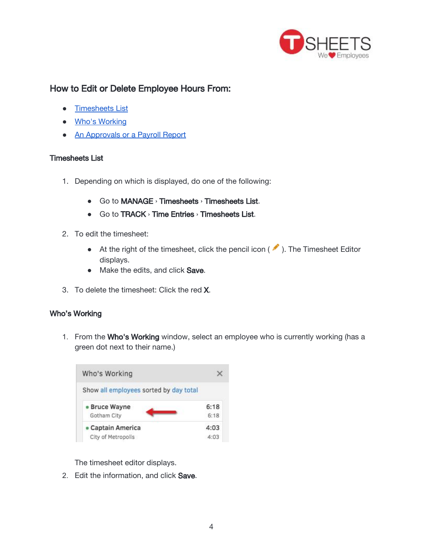

## <span id="page-3-0"></span>How to Edit or Delete Employee Hours From:

- [Timesheets](#page-3-2) List
- Who's [Working](#page-3-1)
- An [Approvals](#page-4-0) or a Payroll Report

#### <span id="page-3-2"></span>Timesheets List

- 1. Depending on which is displayed, do one of the following:
	- Go to MANAGE › Timesheets › Timesheets List.
	- Go to TRACK > Time Entries > Timesheets List.
- 2. To edit the timesheet:
	- $\bullet$  At the right of the timesheet, click the pencil icon ( $\bullet$ ). The Timesheet Editor displays.
	- Make the edits, and click Save.
- 3. To delete the timesheet: Click the red X.

#### <span id="page-3-1"></span>Who's Working

1. From the Who's Working window, select an employee who is currently working (has a green dot next to their name.)



The timesheet editor displays.

2. Edit the information, and click Save.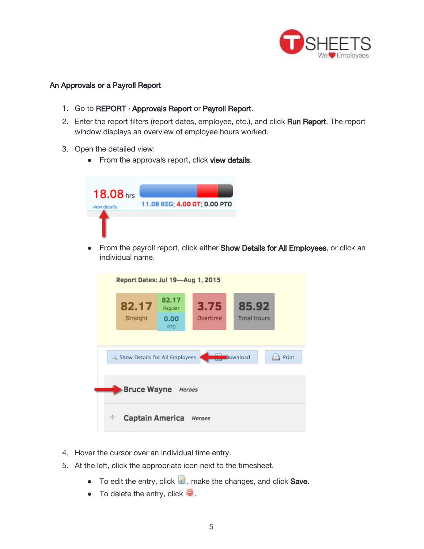

#### <span id="page-4-0"></span>An Approvals or a Payroll Report

- 1. Go to REPORT › Approvals Report or Payroll Report.
- 2. Enter the report filters (report dates, employee, etc.), and click Run Report. The report window displays an overview of employee hours worked.
- 3. Open the detailed view:
	- From the approvals report, click view details.



● From the payroll report, click either Show Details for All Employees, or click an individual name.



- 4. Hover the cursor over an individual time entry.
- 5. At the left, click the appropriate icon next to the timesheet.
	- $\bullet$  To edit the entry, click  $\blacksquare$ , make the changes, and click Save.
	- $\bullet$  To delete the entry, click  $\bullet$ .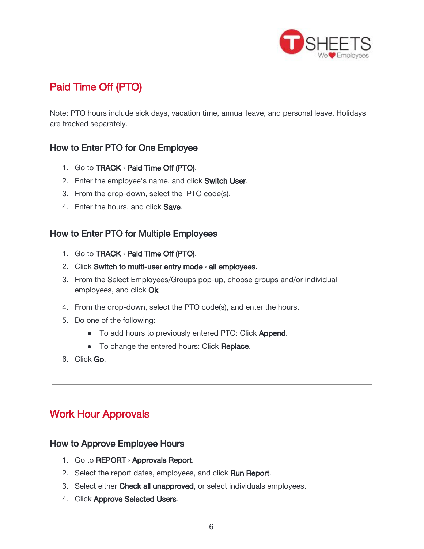

# <span id="page-5-2"></span>Paid Time Off (PTO)

Note: PTO hours include sick days, vacation time, annual leave, and personal leave. Holidays are tracked separately.

## <span id="page-5-0"></span>How to Enter PTO for One Employee

- 1. Go to TRACK › Paid Time Off (PTO).
- 2. Enter the employee's name, and click Switch User.
- 3. From the drop-down, select the PTO code(s).
- 4. Enter the hours, and click Save.

### <span id="page-5-3"></span>How to Enter PTO for Multiple Employees

- 1. Go to TRACK › Paid Time Off (PTO).
- 2. Click Switch to multi-user entry mode > all employees.
- 3. From the Select Employees/Groups pop-up, choose groups and/or individual employees, and click Ok
- 4. From the drop-down, select the PTO code(s), and enter the hours.
- 5. Do one of the following:
	- To add hours to previously entered PTO: Click Append.
	- To change the entered hours: Click Replace.
- 6. Click Go.

# <span id="page-5-4"></span>Work Hour Approvals

### <span id="page-5-1"></span>How to Approve Employee Hours

- 1. Go to REPORT › Approvals Report.
- 2. Select the report dates, employees, and click Run Report.
- 3. Select either Check all unapproved, or select individuals employees.
- 4. Click Approve Selected Users.